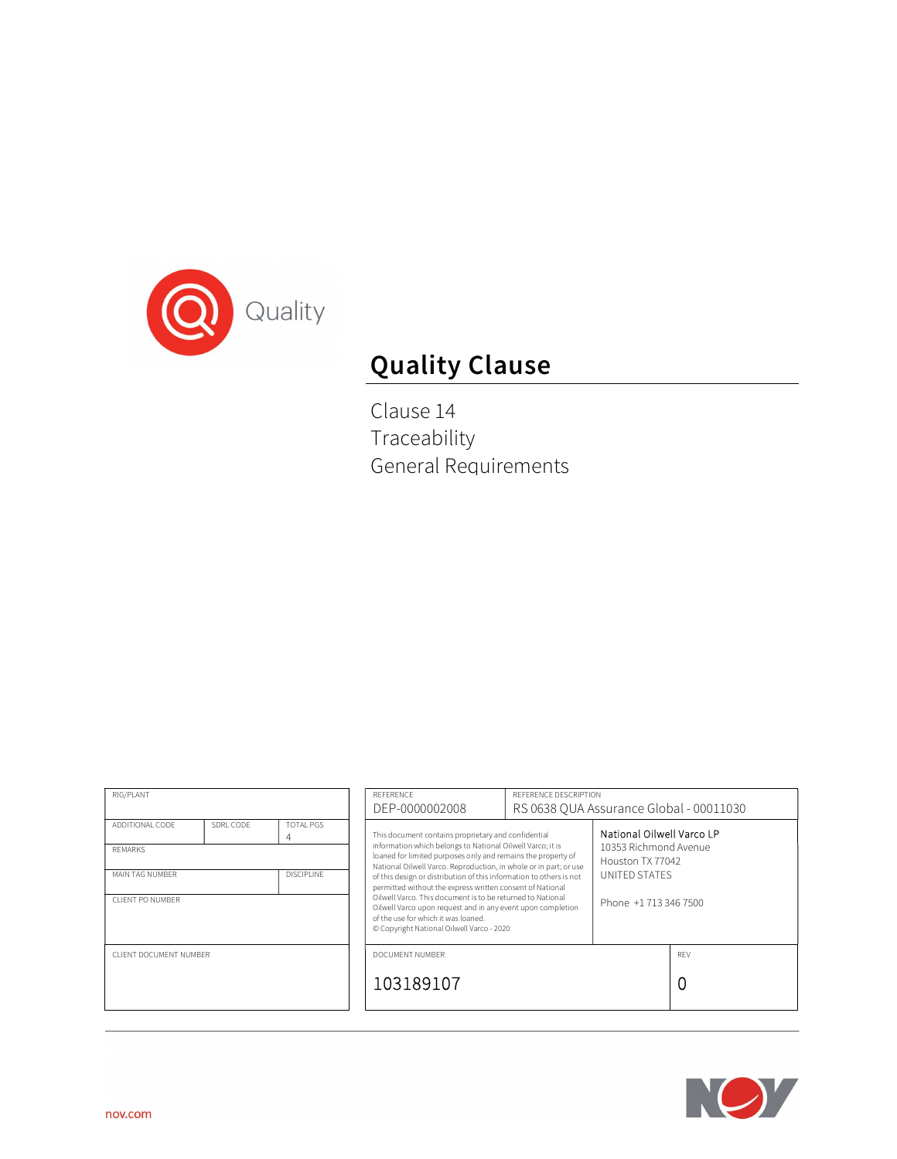

# Quality Clause

Clause 14 Traceability General Requirements

| RIG/PLANT                                            |           | <b>REFERENCE</b><br>REFERENCE DESCRIPTION<br>RS 0638 QUA Assurance Global - 00011030<br>DEP-0000002008                                          |                                                                                                                                                                                                                                                                                                                                                                                                                                                          |                       |                                                                                         |     |
|------------------------------------------------------|-----------|-------------------------------------------------------------------------------------------------------------------------------------------------|----------------------------------------------------------------------------------------------------------------------------------------------------------------------------------------------------------------------------------------------------------------------------------------------------------------------------------------------------------------------------------------------------------------------------------------------------------|-----------------------|-----------------------------------------------------------------------------------------|-----|
| ADDITIONAL CODE<br><b>REMARKS</b><br>MAIN TAG NUMBER | SDRL CODE | <b>TOTAL PGS</b><br>4<br><b>DISCIPLINE</b>                                                                                                      | This document contains proprietary and confidential<br>information which belongs to National Oilwell Varco; it is<br>loaned for limited purposes only and remains the property of<br>National Oilwell Varco. Reproduction, in whole or in part; or use<br>of this design or distribution of this information to others is not<br>permitted without the express written consent of National<br>Oilwell Varco. This document is to be returned to National |                       | National Oilwell Varco LP<br>10353 Richmond Avenue<br>Houston TX 77042<br>UNITED STATES |     |
| CLIENT PO NUMBER                                     |           | Oilwell Varco upon request and in any event upon completion<br>of the use for which it was loaned.<br>© Copyright National Oilwell Varco - 2020 |                                                                                                                                                                                                                                                                                                                                                                                                                                                          | Phone +1 713 346 7500 |                                                                                         |     |
| CLIENT DOCUMENT NUMBER                               |           |                                                                                                                                                 | DOCUMENT NUMBER                                                                                                                                                                                                                                                                                                                                                                                                                                          |                       |                                                                                         | REV |
|                                                      |           | 103189107                                                                                                                                       |                                                                                                                                                                                                                                                                                                                                                                                                                                                          |                       | 0                                                                                       |     |
|                                                      |           |                                                                                                                                                 |                                                                                                                                                                                                                                                                                                                                                                                                                                                          |                       |                                                                                         |     |

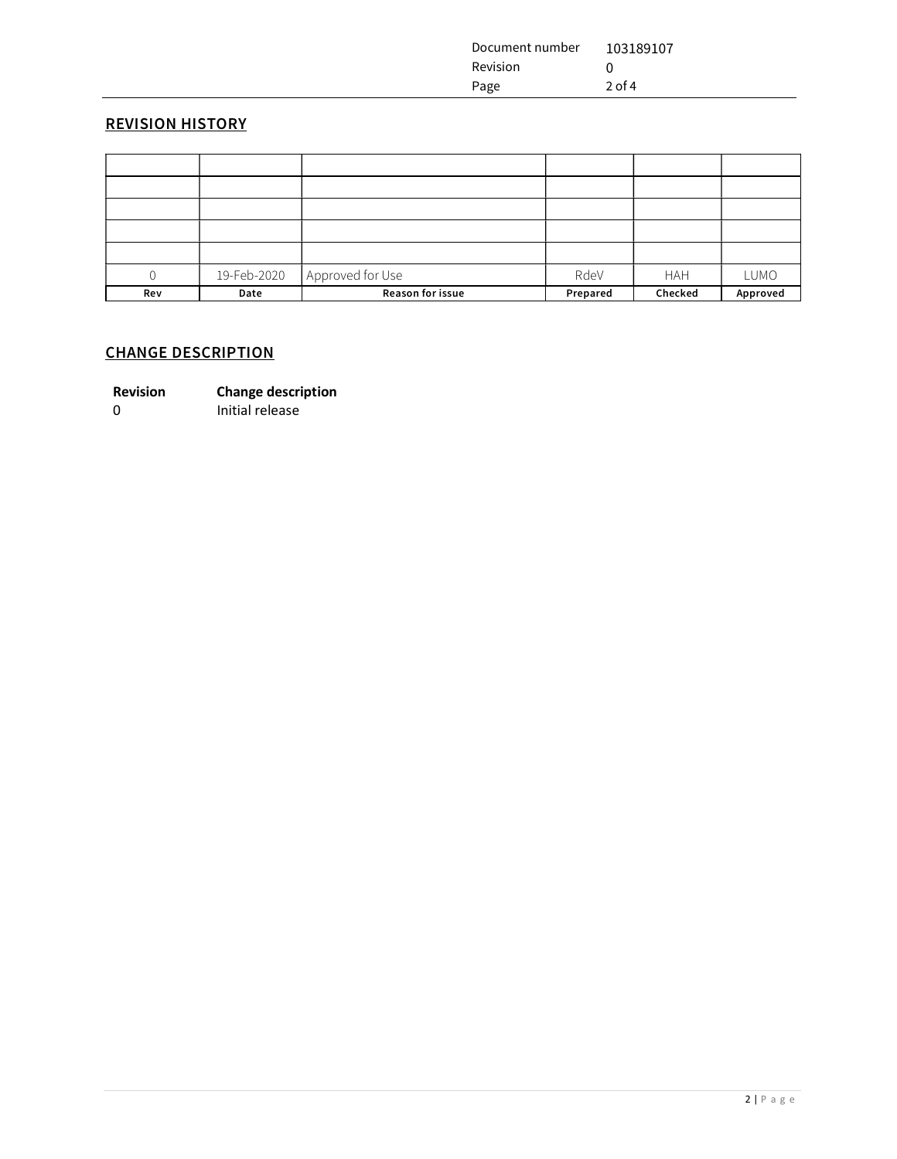| Document number | 103189107    |
|-----------------|--------------|
| <b>Revision</b> | $\mathbf{0}$ |
| Page            | $2$ of 4     |

### REVISION HISTORY

| 0   | 19-Feb-2020 | Approved for Use | RdeV     | <b>HAH</b> | LUMO     |
|-----|-------------|------------------|----------|------------|----------|
| Rev | Date        | Reason for issue | Prepared | Checked    | Approved |

## CHANGE DESCRIPTION

0 Initial release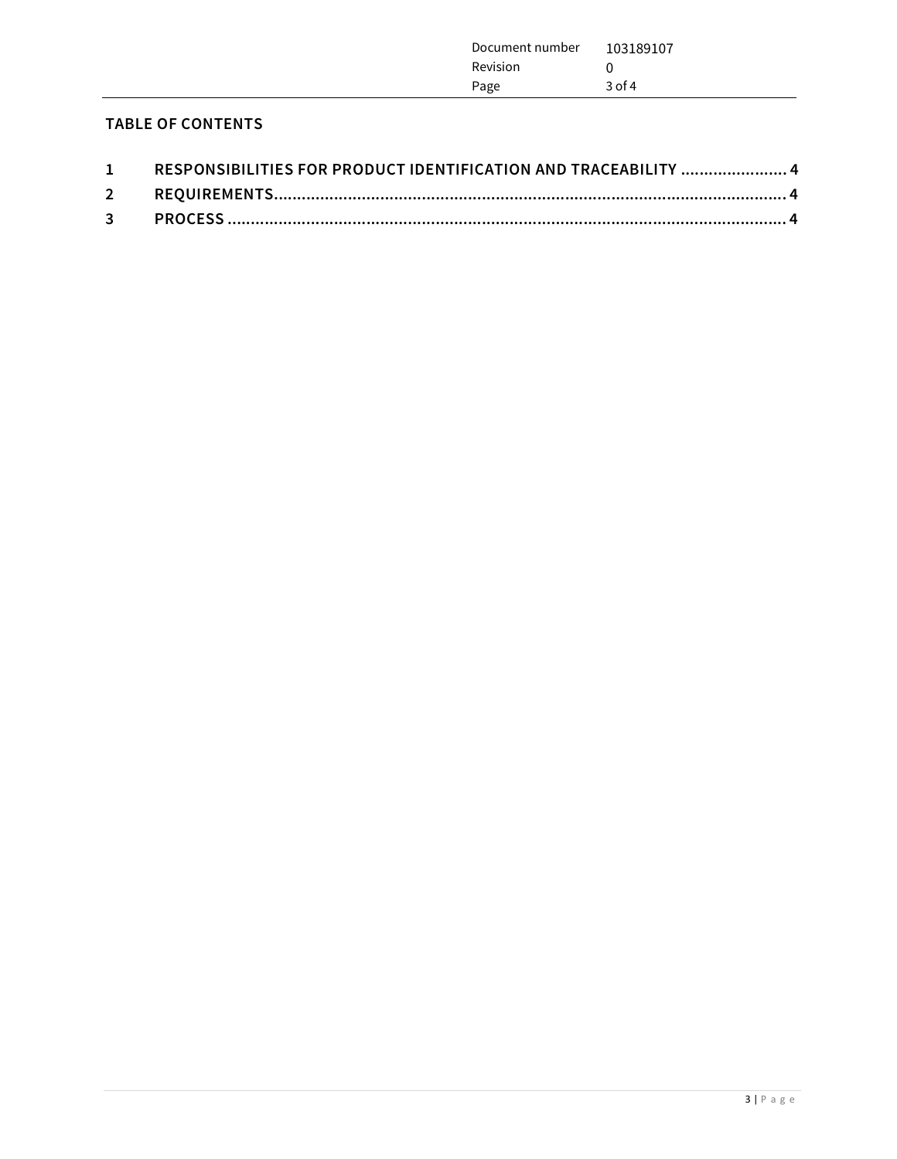|  | Document number<br>Revision<br>Page | 103189107<br>$3$ of 4 |
|--|-------------------------------------|-----------------------|
|  |                                     |                       |

# TABLE OF CONTENTS

| 1 RESPONSIBILITIES FOR PRODUCT IDENTIFICATION AND TRACEABILITY  4 |  |
|-------------------------------------------------------------------|--|
|                                                                   |  |
|                                                                   |  |